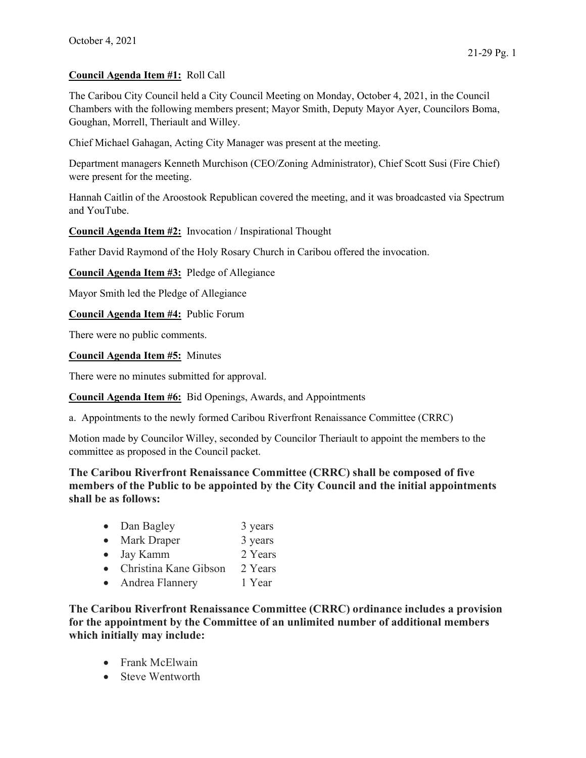## Council Agenda Item #1: Roll Call

The Caribou City Council held a City Council Meeting on Monday, October 4, 2021, in the Council Chambers with the following members present; Mayor Smith, Deputy Mayor Ayer, Councilors Boma, Goughan, Morrell, Theriault and Willey.

Chief Michael Gahagan, Acting City Manager was present at the meeting.

Department managers Kenneth Murchison (CEO/Zoning Administrator), Chief Scott Susi (Fire Chief) were present for the meeting.

Hannah Caitlin of the Aroostook Republican covered the meeting, and it was broadcasted via Spectrum and YouTube.

Council Agenda Item #2: Invocation / Inspirational Thought

Father David Raymond of the Holy Rosary Church in Caribou offered the invocation.

Council Agenda Item #3: Pledge of Allegiance

Mayor Smith led the Pledge of Allegiance

Council Agenda Item #4: Public Forum

There were no public comments.

Council Agenda Item #5: Minutes

There were no minutes submitted for approval.

Council Agenda Item #6: Bid Openings, Awards, and Appointments

a. Appointments to the newly formed Caribou Riverfront Renaissance Committee (CRRC)

Motion made by Councilor Willey, seconded by Councilor Theriault to appoint the members to the committee as proposed in the Council packet.

The Caribou Riverfront Renaissance Committee (CRRC) shall be composed of five members of the Public to be appointed by the City Council and the initial appointments shall be as follows:

- Dan Bagley 3 years
- Mark Draper 3 years
- Jay Kamm 2 Years
- Christina Kane Gibson 2 Years
- Andrea Flannery 1 Year

The Caribou Riverfront Renaissance Committee (CRRC) ordinance includes a provision for the appointment by the Committee of an unlimited number of additional members which initially may include:

- Frank McElwain
- Steve Wentworth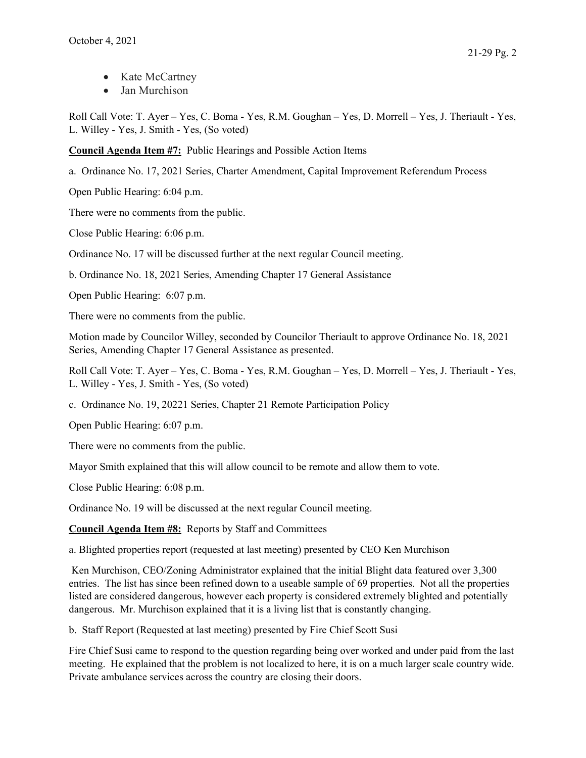- Kate McCartney
- Jan Murchison

Roll Call Vote: T. Ayer – Yes, C. Boma - Yes, R.M. Goughan – Yes, D. Morrell – Yes, J. Theriault - Yes, L. Willey - Yes, J. Smith - Yes, (So voted)

Council Agenda Item #7: Public Hearings and Possible Action Items

a. Ordinance No. 17, 2021 Series, Charter Amendment, Capital Improvement Referendum Process

Open Public Hearing: 6:04 p.m.

There were no comments from the public.

Close Public Hearing: 6:06 p.m.

Ordinance No. 17 will be discussed further at the next regular Council meeting.

b. Ordinance No. 18, 2021 Series, Amending Chapter 17 General Assistance

Open Public Hearing: 6:07 p.m.

There were no comments from the public.

Motion made by Councilor Willey, seconded by Councilor Theriault to approve Ordinance No. 18, 2021 Series, Amending Chapter 17 General Assistance as presented.

Roll Call Vote: T. Ayer – Yes, C. Boma - Yes, R.M. Goughan – Yes, D. Morrell – Yes, J. Theriault - Yes, L. Willey - Yes, J. Smith - Yes, (So voted)

c. Ordinance No. 19, 20221 Series, Chapter 21 Remote Participation Policy

Open Public Hearing: 6:07 p.m.

There were no comments from the public.

Mayor Smith explained that this will allow council to be remote and allow them to vote.

Close Public Hearing: 6:08 p.m.

Ordinance No. 19 will be discussed at the next regular Council meeting.

Council Agenda Item #8: Reports by Staff and Committees

a. Blighted properties report (requested at last meeting) presented by CEO Ken Murchison

 Ken Murchison, CEO/Zoning Administrator explained that the initial Blight data featured over 3,300 entries. The list has since been refined down to a useable sample of 69 properties. Not all the properties listed are considered dangerous, however each property is considered extremely blighted and potentially dangerous. Mr. Murchison explained that it is a living list that is constantly changing.

b. Staff Report (Requested at last meeting) presented by Fire Chief Scott Susi

Fire Chief Susi came to respond to the question regarding being over worked and under paid from the last meeting. He explained that the problem is not localized to here, it is on a much larger scale country wide. Private ambulance services across the country are closing their doors.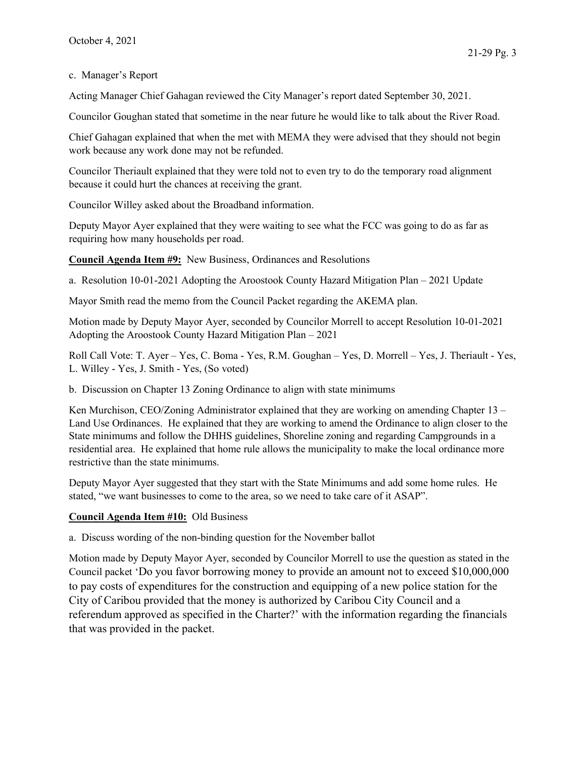## c. Manager's Report

Acting Manager Chief Gahagan reviewed the City Manager's report dated September 30, 2021.

Councilor Goughan stated that sometime in the near future he would like to talk about the River Road.

Chief Gahagan explained that when the met with MEMA they were advised that they should not begin work because any work done may not be refunded.

Councilor Theriault explained that they were told not to even try to do the temporary road alignment because it could hurt the chances at receiving the grant.

Councilor Willey asked about the Broadband information.

Deputy Mayor Ayer explained that they were waiting to see what the FCC was going to do as far as requiring how many households per road.

Council Agenda Item #9: New Business, Ordinances and Resolutions

a. Resolution 10-01-2021 Adopting the Aroostook County Hazard Mitigation Plan – 2021 Update

Mayor Smith read the memo from the Council Packet regarding the AKEMA plan.

Motion made by Deputy Mayor Ayer, seconded by Councilor Morrell to accept Resolution 10-01-2021 Adopting the Aroostook County Hazard Mitigation Plan – 2021

Roll Call Vote: T. Ayer – Yes, C. Boma - Yes, R.M. Goughan – Yes, D. Morrell – Yes, J. Theriault - Yes, L. Willey - Yes, J. Smith - Yes, (So voted)

b. Discussion on Chapter 13 Zoning Ordinance to align with state minimums

Ken Murchison, CEO/Zoning Administrator explained that they are working on amending Chapter 13 – Land Use Ordinances. He explained that they are working to amend the Ordinance to align closer to the State minimums and follow the DHHS guidelines, Shoreline zoning and regarding Campgrounds in a residential area. He explained that home rule allows the municipality to make the local ordinance more restrictive than the state minimums.

Deputy Mayor Ayer suggested that they start with the State Minimums and add some home rules. He stated, "we want businesses to come to the area, so we need to take care of it ASAP".

## Council Agenda Item #10: Old Business

a. Discuss wording of the non-binding question for the November ballot

Motion made by Deputy Mayor Ayer, seconded by Councilor Morrell to use the question as stated in the Council packet 'Do you favor borrowing money to provide an amount not to exceed \$10,000,000 to pay costs of expenditures for the construction and equipping of a new police station for the City of Caribou provided that the money is authorized by Caribou City Council and a referendum approved as specified in the Charter?' with the information regarding the financials that was provided in the packet.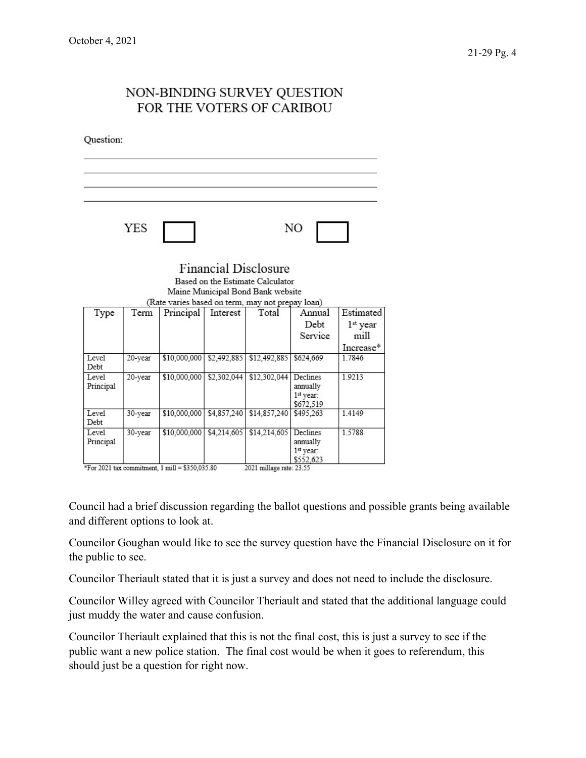## NON-BINDING SURVEY QUESTION FOR THE VOTERS OF CARIBOU Question: YES NO **Financial Disclosure** Based on the Estimate Calculator Maine Municipal Bond Bank website (Rate varies based on term, may not prepay loan) Term Principal Interest Annual Estimated Type Total Debt 1<sup>st</sup> year Service mill Increase\* 20-year \$10,000,000 \$2,492,885 \$12,492,885 \$624,669 Level 1.7846 Debt 20-year \$10,000,000 \$2,302,044 \$12,302,044 Declines 1.9213 Level Principal annually 1st year: \$672,519 Level 30-year \$10,000,000 \$4,857,240 \$14,857,240 \$495,263 1.4149 Debt Level 30-year \$10,000,000 \$4,214,605 \$14,214,605 Declines 1.5788 Principal annually 1st year: \$552,623 \*For 2021 tax commitment, 1 mill = \$350,035.80 2021 millage rate: 23.55

Council had a brief discussion regarding the ballot questions and possible grants being available and different options to look at.

Councilor Goughan would like to see the survey question have the Financial Disclosure on it for the public to see.

Councilor Theriault stated that it is just a survey and does not need to include the disclosure.

Councilor Willey agreed with Councilor Theriault and stated that the additional language could just muddy the water and cause confusion.

Councilor Theriault explained that this is not the final cost, this is just a survey to see if the public want a new police station. The final cost would be when it goes to referendum, this should just be a question for right now.